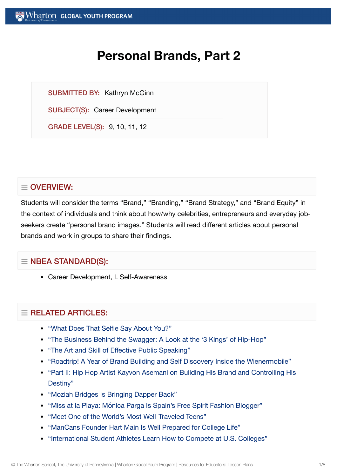# **Personal Brands, Part 2**

SUBMITTED BY: Kathryn McGinn

SUBJECT(S): Career Development

GRADE LEVEL(S): 9, 10, 11, 12

# $\equiv$  OVERVIEW:

Students will consider the terms "Brand," "Branding," "Brand Strategy," and "Brand Equity" in the context of individuals and think about how/why celebrities, entrepreneurs and everyday jobseekers create "personal brand images." Students will read different articles about personal brands and work in groups to share their findings.

## $\equiv$  NBEA STANDARD(S):

Career Development, I. Self-Awareness

## $=$  RELATED ARTICLES:

- "What Does That Selfie [Say About](https://globalyouth.wharton.upenn.edu/articles/what-does-that-selfie-say-about-you/) You?"
- "The [Business Behind](https://globalyouth.wharton.upenn.edu/articles/business-behind-swagger-look-3-kings-hip-hop/) the Swagger: A Look at the '3 Kings' of Hip-Hop"
- "The Art and Skill of Effective Public [Speaking"](https://globalyouth.wharton.upenn.edu/articles/art-skill-effective-public-speaking/)
- "Roadtrip! A Year of Brand Building and Self [Discovery Inside](https://globalyouth.wharton.upenn.edu/articles/roadtrip-year-brand-building-self-discovery-inside-wienermobile/) the Wienermobile"
- "Part II: Hip Hop Artist Kayvon Asemani on Building His Brand and [Controlling](https://globalyouth.wharton.upenn.edu/articles/part-2-hip-hop-artist-kayvon-asemani-building-brand-controlling-destiny/) His Destiny"
- "Moziah [Bridges Is Bringing](https://globalyouth.wharton.upenn.edu/articles/moziah-bridges-bringing-dapper-back/) Dapper Back"
- "Miss at la Playa: Mónica Parga [Is Spain's Free](https://globalyouth.wharton.upenn.edu/articles/miss-at-la-playa-monica-parga-is-spain%e2%80%99s-free-spirit-fashion-blogger/) Spirit Fashion Blogger"
- "Meet One of the World's Most [Well-Traveled](https://globalyouth.wharton.upenn.edu/articles/meet-one-of-the-worlds-most-well-traveled-teens/) Teens"
- ["ManCans Founder](https://globalyouth.wharton.upenn.edu/articles/hart-main-is-prepared-for-college-life/) Hart Main Is Well Prepared for College Life"
- "International Student [Athletes Learn](https://globalyouth.wharton.upenn.edu/articles/international-student-athletes-learn-how-to-compete-at-u-s-colleges/) How to Compete at U.S. Colleges"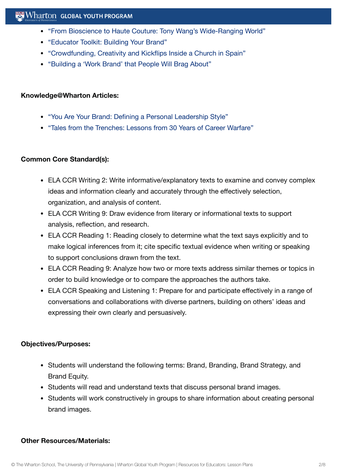## $\mathbb{R}$  Wharton Global Youth Program

- "From Bioscience to Haute Couture: [Tony Wang's Wide-Ranging](https://globalyouth.wharton.upenn.edu/articles/from-bioscience-to-haute-couture-tony-wang%e2%80%99s-wide-ranging-world/) World"
- ["Educator](https://globalyouth.wharton.upenn.edu/articles/december-2017-building-your-brand/) Toolkit: Building Your Brand"
- ["Crowdfunding,](https://globalyouth.wharton.upenn.edu/articles/creativity-crowdfunding-and-kickflips-inside-a-church-in-spain/) Creativity and Kickflips Inside a Church in Spain"
- ["Building](https://globalyouth.wharton.upenn.edu/articles/a-work-brand-people-will-brag-about/) a 'Work Brand' that People Will Brag About"

#### **Knowledge@Wharton Articles:**

- "You Are Your Brand: Defining a Personal [Leadership](http://knowledge.wharton.upenn.edu/article.cfm?articleid=1097) Style"
- "Tales from the Trenches: [Lessons from](http://knowledge.wharton.upenn.edu/article.cfm?articleid=921) 30 Years of Career Warfare"

#### **Common Core Standard(s):**

- ELA CCR Writing 2: Write informative/explanatory texts to examine and convey complex ideas and information clearly and accurately through the effectively selection, organization, and analysis of content.
- ELA CCR Writing 9: Draw evidence from literary or informational texts to support analysis, reflection, and research.
- ELA CCR Reading 1: Reading closely to determine what the text says explicitly and to make logical inferences from it; cite specific textual evidence when writing or speaking to support conclusions drawn from the text.
- ELA CCR Reading 9: Analyze how two or more texts address similar themes or topics in order to build knowledge or to compare the approaches the authors take.
- ELA CCR Speaking and Listening 1: Prepare for and participate effectively in a range of conversations and collaborations with diverse partners, building on others' ideas and expressing their own clearly and persuasively.

#### **Objectives/Purposes:**

- Students will understand the following terms: Brand, Branding, Brand Strategy, and Brand Equity.
- Students will read and understand texts that discuss personal brand images.
- Students will work constructively in groups to share information about creating personal brand images.

#### **Other Resources/Materials:**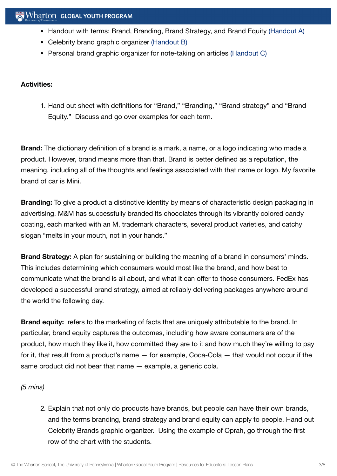- Handout with terms: Brand, Branding, Brand Strategy, and Brand Equity [\(Handout](https://globalyouth.wharton.upenn.edu/wp-content/uploads/2012/01/Career-Development-11_handoutA.pdf) A)
- Celebrity brand graphic organizer [\(Handout](https://globalyouth.wharton.upenn.edu/wp-content/uploads/2012/01/Career-Development-11_handoutB.pdf) B)
- Personal brand graphic organizer for note-taking on articles [\(Handout](https://globalyouth.wharton.upenn.edu/wp-content/uploads/2012/01/Career-Development-11_handoutC.pdf) C)

## **Activities:**

1. Hand out sheet with definitions for "Brand," "Branding," "Brand strategy" and "Brand Equity." Discuss and go over examples for each term.

**Brand:** The dictionary definition of a brand is a mark, a name, or a logo indicating who made a product. However, brand means more than that. Brand is better defined as a reputation, the meaning, including all of the thoughts and feelings associated with that name or logo. My favorite brand of car is Mini.

**Branding:** To give a product a distinctive identity by means of characteristic design packaging in advertising. M&M has successfully branded its chocolates through its vibrantly colored candy coating, each marked with an M, trademark characters, several product varieties, and catchy slogan "melts in your mouth, not in your hands."

**Brand Strategy:** A plan for sustaining or building the meaning of a brand in consumers' minds. This includes determining which consumers would most like the brand, and how best to communicate what the brand is all about, and what it can offer to those consumers. FedEx has developed a successful brand strategy, aimed at reliably delivering packages anywhere around the world the following day.

**Brand equity:** refers to the marketing of facts that are uniquely attributable to the brand. In particular, brand equity captures the outcomes, including how aware consumers are of the product, how much they like it, how committed they are to it and how much they're willing to pay for it, that result from a product's name — for example, Coca-Cola — that would not occur if the same product did not bear that name — example, a generic cola.

*(5 mins)*

2. Explain that not only do products have brands, but people can have their own brands, and the terms branding, brand strategy and brand equity can apply to people. Hand out Celebrity Brands graphic organizer. Using the example of Oprah, go through the first row of the chart with the students.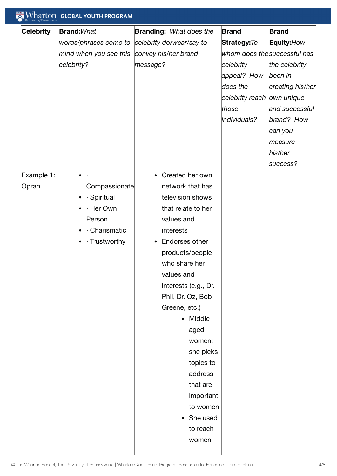| <b>Celebrity</b> | <b>Brand:</b> What         | <b>Branding:</b> What does the | <b>Brand</b>               | <b>Brand</b>                 |
|------------------|----------------------------|--------------------------------|----------------------------|------------------------------|
|                  | words/phrases come to      | celebrity do/wear/say to       | <b>Strategy:</b> To        | Equity: How                  |
|                  | mind when you see this     | convey his/her brand           |                            | whom does the successful has |
|                  | celebrity?                 | message?                       | celebrity                  | the celebrity                |
|                  |                            |                                | appeal? How                | been in                      |
|                  |                            |                                | does the                   | creating his/her             |
|                  |                            |                                | celebrity reach own unique |                              |
|                  |                            |                                | those                      | and successful               |
|                  |                            |                                | individuals?               | brand? How                   |
|                  |                            |                                |                            | can you                      |
|                  |                            |                                |                            | measure                      |
|                  |                            |                                |                            | his/her                      |
|                  |                            |                                |                            | success?                     |
| Example 1:       |                            | Created her own<br>$\bullet$   |                            |                              |
| Oprah            | Compassionate              | network that has               |                            |                              |
|                  | $\bullet$ · Spiritual      | television shows               |                            |                              |
|                  | · Her Own                  | that relate to her             |                            |                              |
|                  | Person                     | values and                     |                            |                              |
|                  | · Charismatic              | interests                      |                            |                              |
|                  | · Trustworthy<br>$\bullet$ | Endorses other<br>$\bullet$    |                            |                              |
|                  |                            | products/people                |                            |                              |
|                  |                            | who share her                  |                            |                              |
|                  |                            | values and                     |                            |                              |
|                  |                            | interests (e.g., Dr.           |                            |                              |
|                  |                            | Phil, Dr. Oz, Bob              |                            |                              |
|                  |                            | Greene, etc.)                  |                            |                              |
|                  |                            | • Middle-                      |                            |                              |
|                  |                            | aged                           |                            |                              |
|                  |                            | women:                         |                            |                              |
|                  |                            | she picks                      |                            |                              |
|                  |                            | topics to<br>address           |                            |                              |
|                  |                            | that are                       |                            |                              |
|                  |                            | important                      |                            |                              |
|                  |                            | to women                       |                            |                              |
|                  |                            | • She used                     |                            |                              |
|                  |                            | to reach                       |                            |                              |
|                  |                            | women                          |                            |                              |
|                  |                            |                                |                            |                              |

 $\sqrt{1.7}$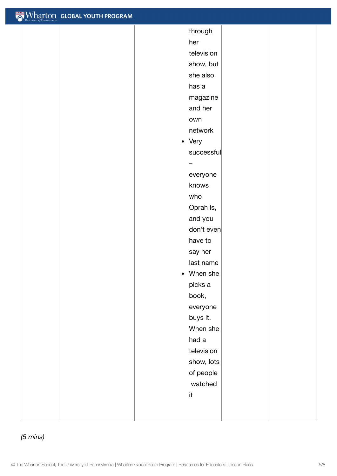| <b>EXAMPLE IN A DATE CODE AL YOUTH PROGRAM</b> |                       |  |
|------------------------------------------------|-----------------------|--|
|                                                | through               |  |
|                                                | her                   |  |
|                                                | television            |  |
|                                                | show, but             |  |
|                                                | she also              |  |
|                                                | has a                 |  |
|                                                | magazine              |  |
|                                                | and her               |  |
|                                                | own                   |  |
|                                                | network               |  |
|                                                | • Very                |  |
|                                                | successful            |  |
|                                                |                       |  |
|                                                | everyone              |  |
|                                                | knows                 |  |
|                                                | who                   |  |
|                                                | Oprah is,             |  |
|                                                | and you               |  |
|                                                | don't even            |  |
|                                                | have to               |  |
|                                                | say her               |  |
|                                                | last name             |  |
|                                                | When she<br>$\bullet$ |  |
|                                                | picks a               |  |
|                                                | book,                 |  |
|                                                | everyone              |  |
|                                                | buys it.              |  |
|                                                | When she              |  |
|                                                | had a                 |  |
|                                                | television            |  |
|                                                | show, lots            |  |
|                                                | of people             |  |
|                                                | watched               |  |
|                                                | $\sf{it}$             |  |
|                                                |                       |  |
|                                                |                       |  |

*(5 mins)*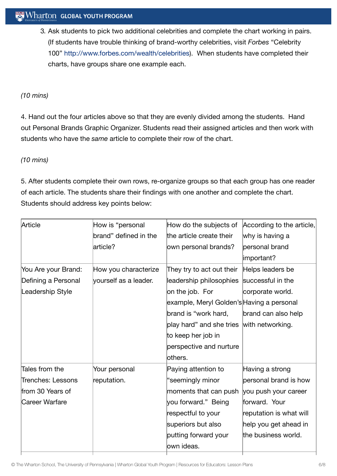3. Ask students to pick two additional celebrities and complete the chart working in pairs. (If students have trouble thinking of brand-worthy celebrities, visit *Forbes* "Celebrity 100" [http://www.forbes.com/wealth/celebrities\)](http://www.forbes.com/wealth/celebrities). When students have completed their charts, have groups share one example each.

# *(10 mins)*

4. Hand out the four articles above so that they are evenly divided among the students. Hand out Personal Brands Graphic Organizer. Students read their assigned articles and then work with students who have the *same* article to complete their row of the chart.

# *(10 mins)*

5. After students complete their own rows, re-organize groups so that each group has one reader of each article. The students share their findings with one another and complete the chart. Students should address key points below:

| Article               | How is "personal      | How do the subjects of                    | According to the article, |  |
|-----------------------|-----------------------|-------------------------------------------|---------------------------|--|
|                       | brand" defined in the | the article create their                  | why is having a           |  |
|                       | article?              | own personal brands?                      | personal brand            |  |
|                       |                       |                                           | important?                |  |
| You Are your Brand:   | How you characterize  | They try to act out their                 | Helps leaders be          |  |
| Defining a Personal   | yourself as a leader. | leadership philosophies                   | successful in the         |  |
| Leadership Style      |                       | on the job. For                           | corporate world.          |  |
|                       |                       | example, Meryl Golden's Having a personal |                           |  |
|                       |                       | brand is "work hard,                      | brand can also help       |  |
|                       |                       | play hard" and she tries with networking. |                           |  |
|                       |                       | to keep her job in                        |                           |  |
|                       |                       | perspective and nurture                   |                           |  |
|                       |                       | others.                                   |                           |  |
| Tales from the        | Your personal         | Paying attention to                       | Having a strong           |  |
| Trenches: Lessons     | reputation.           | "seemingly minor                          | personal brand is how     |  |
| from 30 Years of      |                       | moments that can push                     | you push your career      |  |
| <b>Career Warfare</b> |                       | you forward." Being                       | forward. Your             |  |
|                       |                       | respectful to your                        | reputation is what will   |  |
|                       |                       | superiors but also                        | help you get ahead in     |  |
|                       |                       | putting forward your                      | the business world.       |  |
|                       |                       | own ideas.                                |                           |  |
|                       |                       |                                           |                           |  |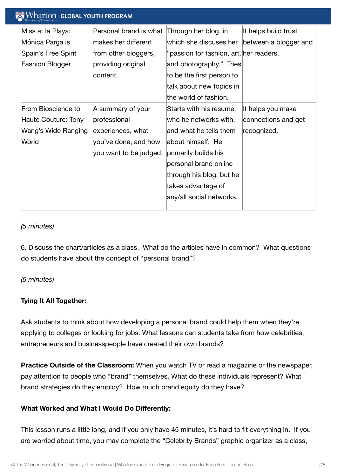| Wharton GLOBAL YOUTH PROGRAM |                        |                                         |                       |  |  |  |
|------------------------------|------------------------|-----------------------------------------|-----------------------|--|--|--|
| Miss at la Playa:            | Personal brand is what | Through her blog, in                    | It helps build trust  |  |  |  |
| Mónica Parga is              | makes her different    | which she discuses her                  | between a blogger and |  |  |  |
| Spain's Free Spirit          | from other bloggers,   | "passion for fashion, art, her readers. |                       |  |  |  |
| <b>Fashion Blogger</b>       | providing original     | and photography." Tries                 |                       |  |  |  |
|                              | content.               | to be the first person to               |                       |  |  |  |
|                              |                        | talk about new topics in                |                       |  |  |  |
|                              |                        | the world of fashion.                   |                       |  |  |  |
| From Bioscience to           | A summary of your      | Starts with his resume,                 | It helps you make     |  |  |  |
| Haute Couture: Tony          | professional           | who he networks with,                   | connections and get   |  |  |  |
| Wang's Wide Ranging          | experiences, what      | and what he tells them                  | recognized.           |  |  |  |
| World                        | you've done, and how   | about himself. He                       |                       |  |  |  |
|                              | you want to be judged. | primarily builds his                    |                       |  |  |  |
|                              |                        | personal brand online                   |                       |  |  |  |
|                              |                        | through his blog, but he                |                       |  |  |  |
|                              |                        | takes advantage of                      |                       |  |  |  |
|                              |                        | any/all social networks.                |                       |  |  |  |
|                              |                        |                                         |                       |  |  |  |

## *(5 minutes)*

6. Discuss the chart/articles as a class. What do the articles have in common? What questions do students have about the concept of "personal brand"?

*(5 minutes)*

## **Tying It All Together:**

Ask students to think about how developing a personal brand could help them when they're applying to colleges or looking for jobs. What lessons can students take from how celebrities, entrepreneurs and businesspeople have created their own brands?

**Practice Outside of the Classroom:** When you watch TV or read a magazine or the newspaper, pay attention to people who "brand" themselves. What do these individuals represent? What brand strategies do they employ? How much brand equity do they have?

## **What Worked and What I Would Do Differently:**

This lesson runs a little long, and if you only have 45 minutes, it's hard to fit everything in. If you are worried about time, you may complete the "Celebrity Brands" graphic organizer as a class,